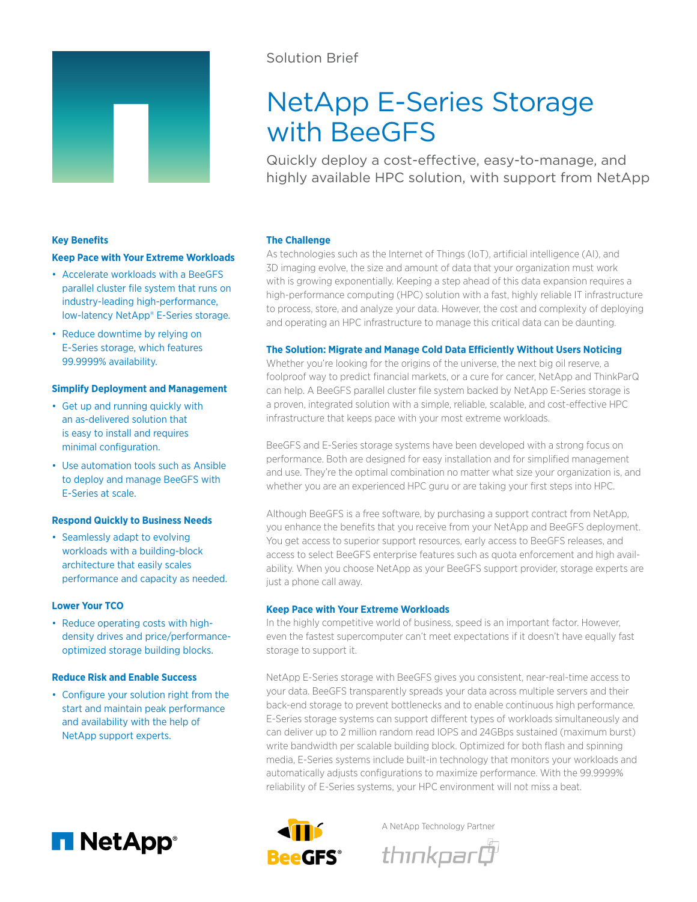

# Solution Brief

# NetApp E-Series Storage with BeeGFS

Quickly deploy a cost-effective, easy-to-manage, and highly available HPC solution, with support from NetApp

# **Key Benefits**

#### **Keep Pace with Your Extreme Workloads**

- Accelerate workloads with a BeeGFS parallel cluster file system that runs on industry-leading high-performance, low-latency NetApp® E-Series storage.
- Reduce downtime by relying on E-Series storage, which features 99.9999% availability.

### **Simplify Deployment and Management**

- Get up and running quickly with an as-delivered solution that is easy to install and requires minimal configuration.
- Use automation tools such as Ansible to deploy and manage BeeGFS with E-Series at scale.

#### **Respond Quickly to Business Needs**

• Seamlessly adapt to evolving workloads with a building-block architecture that easily scales performance and capacity as needed.

#### **Lower Your TCO**

• Reduce operating costs with highdensity drives and price/performanceoptimized storage building blocks.

## **Reduce Risk and Enable Success**

• Configure your solution right from the start and maintain peak performance and availability with the help of NetApp support experts.



#### **The Challenge**

As technologies such as the Internet of Things (IoT), artificial intelligence (AI), and 3D imaging evolve, the size and amount of data that your organization must work with is growing exponentially. Keeping a step ahead of this data expansion requires a high-performance computing (HPC) solution with a fast, highly reliable IT infrastructure to process, store, and analyze your data. However, the cost and complexity of deploying and operating an HPC infrastructure to manage this critical data can be daunting.

#### **The Solution: Migrate and Manage Cold Data Efficiently Without Users Noticing**

Whether you're looking for the origins of the universe, the next big oil reserve, a foolproof way to predict financial markets, or a cure for cancer, NetApp and ThinkParQ can help. A BeeGFS parallel cluster file system backed by NetApp E-Series storage is a proven, integrated solution with a simple, reliable, scalable, and cost-effective HPC infrastructure that keeps pace with your most extreme workloads.

BeeGFS and E-Series storage systems have been developed with a strong focus on performance. Both are designed for easy installation and for simplified management and use. They're the optimal combination no matter what size your organization is, and whether you are an experienced HPC guru or are taking your first steps into HPC.

Although BeeGFS is a free software, by purchasing a support contract from NetApp, you enhance the benefits that you receive from your NetApp and BeeGFS deployment. You get access to superior support resources, early access to BeeGFS releases, and access to select BeeGFS enterprise features such as quota enforcement and high availability. When you choose NetApp as your BeeGFS support provider, storage experts are just a phone call away.

#### **Keep Pace with Your Extreme Workloads**

In the highly competitive world of business, speed is an important factor. However, even the fastest supercomputer can't meet expectations if it doesn't have equally fast storage to support it.

NetApp E-Series storage with BeeGFS gives you consistent, near-real-time access to your data. BeeGFS transparently spreads your data across multiple servers and their back-end storage to prevent bottlenecks and to enable continuous high performance. E-Series storage systems can support different types of workloads simultaneously and can deliver up to 2 million random read IOPS and 24GBps sustained (maximum burst) write bandwidth per scalable building block. Optimized for both flash and spinning media, E-Series systems include built-in technology that monitors your workloads and automatically adjusts configurations to maximize performance. With the 99.9999% reliability of E-Series systems, your HPC environment will not miss a beat.



A NetApp Technology Partner

thınkparĞ